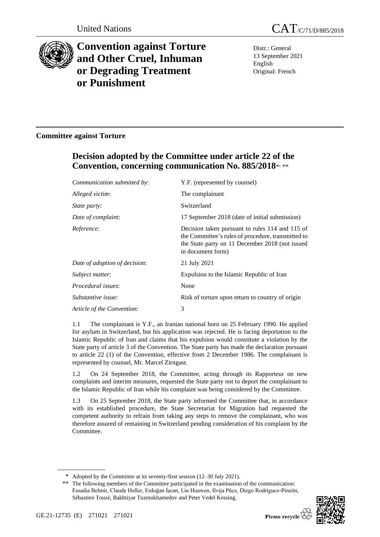

# **Convention against Torture and Other Cruel, Inhuman or Degrading Treatment or Punishment**

Distr.: General 13 September 2021 English Original: French

## **Committee against Torture**

# **Decision adopted by the Committee under article 22 of the Convention, concerning communication No. 885/2018**\* , \*\*

| Communication submitted by:   | Y.F. (represented by counsel)                                                                                                                                                 |
|-------------------------------|-------------------------------------------------------------------------------------------------------------------------------------------------------------------------------|
| Alleged victim:               | The complainant                                                                                                                                                               |
| State party:                  | Switzerland                                                                                                                                                                   |
| Date of complaint:            | 17 September 2018 (date of initial submission)                                                                                                                                |
| Reference:                    | Decision taken pursuant to rules 114 and 115 of<br>the Committee's rules of procedure, transmitted to<br>the State party on 11 December 2018 (not issued<br>in document form) |
| Date of adoption of decision: | 21 July 2021                                                                                                                                                                  |
| Subject matter:               | Expulsion to the Islamic Republic of Iran                                                                                                                                     |
| Procedural issues:            | None                                                                                                                                                                          |
| Substantive issue:            | Risk of torture upon return to country of origin                                                                                                                              |
| Article of the Convention:    | 3                                                                                                                                                                             |
|                               |                                                                                                                                                                               |

1.1 The complainant is Y.F., an Iranian national born on 25 February 1990. He applied for asylum in Switzerland, but his application was rejected. He is facing deportation to the Islamic Republic of Iran and claims that his expulsion would constitute a violation by the State party of article 3 of the Convention. The State party has made the declaration pursuant to article 22 (1) of the Convention, effective from 2 December 1986. The complainant is represented by counsel, Mr. Marcel Zirngast.

1.2 On 24 September 2018, the Committee, acting through its Rapporteur on new complaints and interim measures, requested the State party not to deport the complainant to the Islamic Republic of Iran while his complaint was being considered by the Committee.

1.3 On 25 September 2018, the State party informed the Committee that, in accordance with its established procedure, the State Secretariat for Migration had requested the competent authority to refrain from taking any steps to remove the complainant, who was therefore assured of remaining in Switzerland pending consideration of his complaint by the Committee.

<sup>\*\*</sup> The following members of the Committee participated in the examination of the communication: Essadia Belmir, Claude Heller, Erdoğan İşcan, Liu Huawen, Ilvija Pūce, Diego Rodríguez-Pinzón, Sébastien Touzé, Bakhtiyar Tuzmukhamedov and Peter Vedel Kessing.



<sup>\*</sup> Adopted by the Committee at its seventy-first session (12–30 July 2021).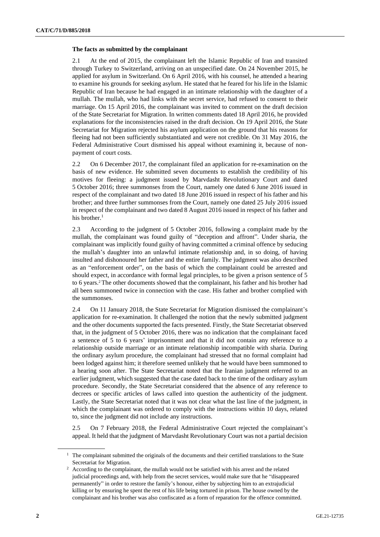#### **The facts as submitted by the complainant**

2.1 At the end of 2015, the complainant left the Islamic Republic of Iran and transited through Turkey to Switzerland, arriving on an unspecified date. On 24 November 2015, he applied for asylum in Switzerland. On 6 April 2016, with his counsel, he attended a hearing to examine his grounds for seeking asylum. He stated that he feared for his life in the Islamic Republic of Iran because he had engaged in an intimate relationship with the daughter of a mullah. The mullah, who had links with the secret service, had refused to consent to their marriage. On 15 April 2016, the complainant was invited to comment on the draft decision of the State Secretariat for Migration. In written comments dated 18 April 2016, he provided explanations for the inconsistencies raised in the draft decision. On 19 April 2016, the State Secretariat for Migration rejected his asylum application on the ground that his reasons for fleeing had not been sufficiently substantiated and were not credible. On 31 May 2016, the Federal Administrative Court dismissed his appeal without examining it, because of nonpayment of court costs.

2.2 On 6 December 2017, the complainant filed an application for re-examination on the basis of new evidence. He submitted seven documents to establish the credibility of his motives for fleeing: a judgment issued by Marvdasht Revolutionary Court and dated 5 October 2016; three summonses from the Court, namely one dated 6 June 2016 issued in respect of the complainant and two dated 18 June 2016 issued in respect of his father and his brother; and three further summonses from the Court, namely one dated 25 July 2016 issued in respect of the complainant and two dated 8 August 2016 issued in respect of his father and his brother.<sup>1</sup>

2.3 According to the judgment of 5 October 2016, following a complaint made by the mullah, the complainant was found guilty of "deception and affront". Under sharia, the complainant was implicitly found guilty of having committed a criminal offence by seducing the mullah's daughter into an unlawful intimate relationship and, in so doing, of having insulted and dishonoured her father and the entire family. The judgment was also described as an "enforcement order", on the basis of which the complainant could be arrested and should expect, in accordance with formal legal principles, to be given a prison sentence of 5 to 6 years.<sup>2</sup> The other documents showed that the complainant, his father and his brother had all been summoned twice in connection with the case. His father and brother complied with the summonses.

2.4 On 11 January 2018, the State Secretariat for Migration dismissed the complainant's application for re-examination. It challenged the notion that the newly submitted judgment and the other documents supported the facts presented. Firstly, the State Secretariat observed that, in the judgment of 5 October 2016, there was no indication that the complainant faced a sentence of 5 to 6 years' imprisonment and that it did not contain any reference to a relationship outside marriage or an intimate relationship incompatible with sharia. During the ordinary asylum procedure, the complainant had stressed that no formal complaint had been lodged against him; it therefore seemed unlikely that he would have been summoned to a hearing soon after. The State Secretariat noted that the Iranian judgment referred to an earlier judgment, which suggested that the case dated back to the time of the ordinary asylum procedure. Secondly, the State Secretariat considered that the absence of any reference to decrees or specific articles of laws called into question the authenticity of the judgment. Lastly, the State Secretariat noted that it was not clear what the last line of the judgment, in which the complainant was ordered to comply with the instructions within 10 days, related to, since the judgment did not include any instructions.

2.5 On 7 February 2018, the Federal Administrative Court rejected the complainant's appeal. It held that the judgment of Marvdasht Revolutionary Court was not a partial decision

<sup>&</sup>lt;sup>1</sup> The complainant submitted the originals of the documents and their certified translations to the State Secretariat for Migration.

<sup>&</sup>lt;sup>2</sup> According to the complainant, the mullah would not be satisfied with his arrest and the related judicial proceedings and, with help from the secret services, would make sure that he "disappeared permanently" in order to restore the family's honour, either by subjecting him to an extrajudicial killing or by ensuring he spent the rest of his life being tortured in prison. The house owned by the complainant and his brother was also confiscated as a form of reparation for the offence committed.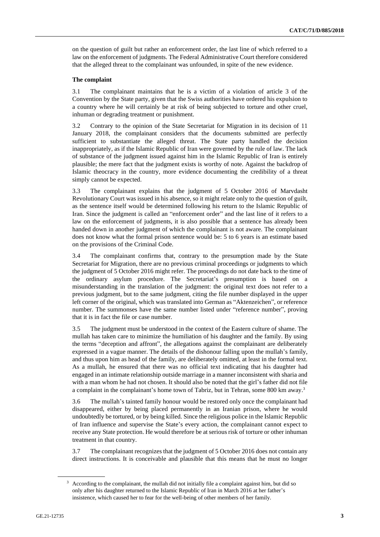on the question of guilt but rather an enforcement order, the last line of which referred to a law on the enforcement of judgments. The Federal Administrative Court therefore considered that the alleged threat to the complainant was unfounded, in spite of the new evidence.

### **The complaint**

3.1 The complainant maintains that he is a victim of a violation of article 3 of the Convention by the State party, given that the Swiss authorities have ordered his expulsion to a country where he will certainly be at risk of being subjected to torture and other cruel, inhuman or degrading treatment or punishment.

3.2 Contrary to the opinion of the State Secretariat for Migration in its decision of 11 January 2018, the complainant considers that the documents submitted are perfectly sufficient to substantiate the alleged threat. The State party handled the decision inappropriately, as if the Islamic Republic of Iran were governed by the rule of law. The lack of substance of the judgment issued against him in the Islamic Republic of Iran is entirely plausible; the mere fact that the judgment exists is worthy of note. Against the backdrop of Islamic theocracy in the country, more evidence documenting the credibility of a threat simply cannot be expected.

3.3 The complainant explains that the judgment of 5 October 2016 of Marvdasht Revolutionary Court was issued in his absence, so it might relate only to the question of guilt, as the sentence itself would be determined following his return to the Islamic Republic of Iran. Since the judgment is called an "enforcement order" and the last line of it refers to a law on the enforcement of judgments, it is also possible that a sentence has already been handed down in another judgment of which the complainant is not aware. The complainant does not know what the formal prison sentence would be: 5 to 6 years is an estimate based on the provisions of the Criminal Code.

3.4 The complainant confirms that, contrary to the presumption made by the State Secretariat for Migration, there are no previous criminal proceedings or judgments to which the judgment of 5 October 2016 might refer. The proceedings do not date back to the time of the ordinary asylum procedure. The Secretariat's presumption is based on a misunderstanding in the translation of the judgment: the original text does not refer to a previous judgment, but to the same judgment, citing the file number displayed in the upper left corner of the original, which was translated into German as "Aktenzeichen", or reference number. The summonses have the same number listed under "reference number", proving that it is in fact the file or case number.

3.5 The judgment must be understood in the context of the Eastern culture of shame. The mullah has taken care to minimize the humiliation of his daughter and the family. By using the terms "deception and affront", the allegations against the complainant are deliberately expressed in a vague manner. The details of the dishonour falling upon the mullah's family, and thus upon him as head of the family, are deliberately omitted, at least in the formal text. As a mullah, he ensured that there was no official text indicating that his daughter had engaged in an intimate relationship outside marriage in a manner inconsistent with sharia and with a man whom he had not chosen. It should also be noted that the girl's father did not file a complaint in the complainant's home town of Tabriz, but in Tehran, some 800 km away.<sup>3</sup>

3.6 The mullah's tainted family honour would be restored only once the complainant had disappeared, either by being placed permanently in an Iranian prison, where he would undoubtedly be tortured, or by being killed. Since the religious police in the Islamic Republic of Iran influence and supervise the State's every action, the complainant cannot expect to receive any State protection. He would therefore be at serious risk of torture or other inhuman treatment in that country.

3.7 The complainant recognizes that the judgment of 5 October 2016 does not contain any direct instructions. It is conceivable and plausible that this means that he must no longer

 $3$  According to the complainant, the mullah did not initially file a complaint against him, but did so only after his daughter returned to the Islamic Republic of Iran in March 2016 at her father's insistence, which caused her to fear for the well-being of other members of her family.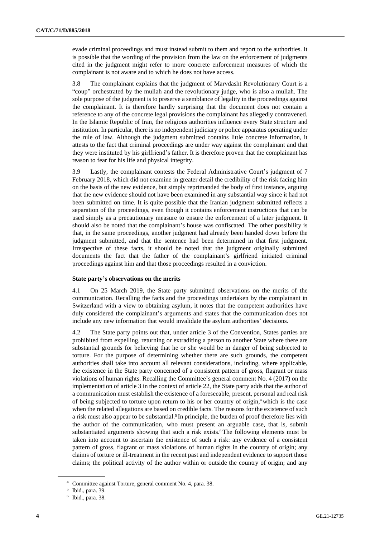evade criminal proceedings and must instead submit to them and report to the authorities. It is possible that the wording of the provision from the law on the enforcement of judgments cited in the judgment might refer to more concrete enforcement measures of which the complainant is not aware and to which he does not have access.

3.8 The complainant explains that the judgment of Marvdasht Revolutionary Court is a "coup" orchestrated by the mullah and the revolutionary judge, who is also a mullah. The sole purpose of the judgment is to preserve a semblance of legality in the proceedings against the complainant. It is therefore hardly surprising that the document does not contain a reference to any of the concrete legal provisions the complainant has allegedly contravened. In the Islamic Republic of Iran, the religious authorities influence every State structure and institution. In particular, there is no independent judiciary or police apparatus operating under the rule of law. Although the judgment submitted contains little concrete information, it attests to the fact that criminal proceedings are under way against the complainant and that they were instituted by his girlfriend's father. It is therefore proven that the complainant has reason to fear for his life and physical integrity.

3.9 Lastly, the complainant contests the Federal Administrative Court's judgment of 7 February 2018, which did not examine in greater detail the credibility of the risk facing him on the basis of the new evidence, but simply reprimanded the body of first instance, arguing that the new evidence should not have been examined in any substantial way since it had not been submitted on time. It is quite possible that the Iranian judgment submitted reflects a separation of the proceedings, even though it contains enforcement instructions that can be used simply as a precautionary measure to ensure the enforcement of a later judgment. It should also be noted that the complainant's house was confiscated. The other possibility is that, in the same proceedings, another judgment had already been handed down before the judgment submitted, and that the sentence had been determined in that first judgment. Irrespective of these facts, it should be noted that the judgment originally submitted documents the fact that the father of the complainant's girlfriend initiated criminal proceedings against him and that those proceedings resulted in a conviction.

### **State party's observations on the merits**

4.1 On 25 March 2019, the State party submitted observations on the merits of the communication. Recalling the facts and the proceedings undertaken by the complainant in Switzerland with a view to obtaining asylum, it notes that the competent authorities have duly considered the complainant's arguments and states that the communication does not include any new information that would invalidate the asylum authorities' decisions.

4.2 The State party points out that, under article 3 of the Convention, States parties are prohibited from expelling, returning or extraditing a person to another State where there are substantial grounds for believing that he or she would be in danger of being subjected to torture. For the purpose of determining whether there are such grounds, the competent authorities shall take into account all relevant considerations, including, where applicable, the existence in the State party concerned of a consistent pattern of gross, flagrant or mass violations of human rights. Recalling the Committee's general comment No. 4 (2017) on the implementation of article 3 in the context of article 22, the State party adds that the author of a communication must establish the existence of a foreseeable, present, personal and real risk of being subjected to torture upon return to his or her country of origin,<sup>4</sup> which is the case when the related allegations are based on credible facts. The reasons for the existence of such a risk must also appear to be substantial.<sup>5</sup> In principle, the burden of proof therefore lies with the author of the communication, who must present an arguable case, that is, submit substantiated arguments showing that such a risk exists.<sup>6</sup> The following elements must be taken into account to ascertain the existence of such a risk: any evidence of a consistent pattern of gross, flagrant or mass violations of human rights in the country of origin; any claims of torture or ill-treatment in the recent past and independent evidence to support those claims; the political activity of the author within or outside the country of origin; and any

<sup>4</sup> Committee against Torture, general comment No. 4, para. 38.

<sup>5</sup> Ibid., para. 39.

<sup>6</sup> Ibid., para. 38.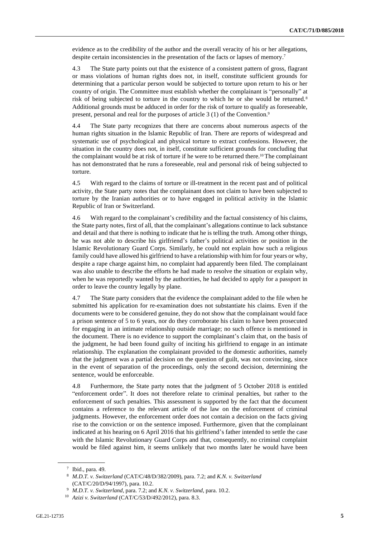evidence as to the credibility of the author and the overall veracity of his or her allegations, despite certain inconsistencies in the presentation of the facts or lapses of memory.<sup>7</sup>

4.3 The State party points out that the existence of a consistent pattern of gross, flagrant or mass violations of human rights does not, in itself, constitute sufficient grounds for determining that a particular person would be subjected to torture upon return to his or her country of origin. The Committee must establish whether the complainant is "personally" at risk of being subjected to torture in the country to which he or she would be returned.<sup>8</sup> Additional grounds must be adduced in order for the risk of torture to qualify as foreseeable, present, personal and real for the purposes of article 3 (1) of the Convention.<sup>9</sup>

4.4 The State party recognizes that there are concerns about numerous aspects of the human rights situation in the Islamic Republic of Iran. There are reports of widespread and systematic use of psychological and physical torture to extract confessions. However, the situation in the country does not, in itself, constitute sufficient grounds for concluding that the complainant would be at risk of torture if he were to be returned there.<sup>10</sup> The complainant has not demonstrated that he runs a foreseeable, real and personal risk of being subjected to torture.

4.5 With regard to the claims of torture or ill-treatment in the recent past and of political activity, the State party notes that the complainant does not claim to have been subjected to torture by the Iranian authorities or to have engaged in political activity in the Islamic Republic of Iran or Switzerland.

4.6 With regard to the complainant's credibility and the factual consistency of his claims, the State party notes, first of all, that the complainant's allegations continue to lack substance and detail and that there is nothing to indicate that he is telling the truth. Among other things, he was not able to describe his girlfriend's father's political activities or position in the Islamic Revolutionary Guard Corps. Similarly, he could not explain how such a religious family could have allowed his girlfriend to have a relationship with him for four years or why, despite a rape charge against him, no complaint had apparently been filed. The complainant was also unable to describe the efforts he had made to resolve the situation or explain why, when he was reportedly wanted by the authorities, he had decided to apply for a passport in order to leave the country legally by plane.

4.7 The State party considers that the evidence the complainant added to the file when he submitted his application for re-examination does not substantiate his claims. Even if the documents were to be considered genuine, they do not show that the complainant would face a prison sentence of 5 to 6 years, nor do they corroborate his claim to have been prosecuted for engaging in an intimate relationship outside marriage; no such offence is mentioned in the document. There is no evidence to support the complainant's claim that, on the basis of the judgment, he had been found guilty of inciting his girlfriend to engage in an intimate relationship. The explanation the complainant provided to the domestic authorities, namely that the judgment was a partial decision on the question of guilt, was not convincing, since in the event of separation of the proceedings, only the second decision, determining the sentence, would be enforceable.

4.8 Furthermore, the State party notes that the judgment of 5 October 2018 is entitled "enforcement order". It does not therefore relate to criminal penalties, but rather to the enforcement of such penalties. This assessment is supported by the fact that the document contains a reference to the relevant article of the law on the enforcement of criminal judgments. However, the enforcement order does not contain a decision on the facts giving rise to the conviction or on the sentence imposed. Furthermore, given that the complainant indicated at his hearing on 6 April 2016 that his girlfriend's father intended to settle the case with the Islamic Revolutionary Guard Corps and that, consequently, no criminal complaint would be filed against him, it seems unlikely that two months later he would have been

<sup>7</sup> Ibid., para. 49.

<sup>8</sup> *M.D.T. v. Switzerland* (CAT/C/48/D/382/2009), para. 7.2; and *K.N. v. Switzerland* (CAT/C/20/D/94/1997), para. 10.2.

<sup>9</sup> *M.D.T. v. Switzerland*, para. 7.2; and *K.N. v. Switzerland*, para. 10.2.

<sup>10</sup> *Azizi v. Switzerland* (CAT/C/53/D/492/2012), para. 8.3.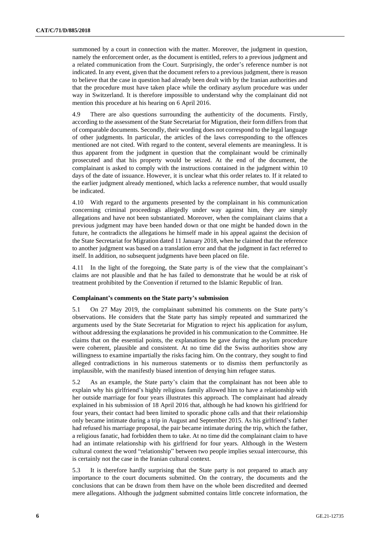summoned by a court in connection with the matter. Moreover, the judgment in question, namely the enforcement order, as the document is entitled, refers to a previous judgment and a related communication from the Court. Surprisingly, the order's reference number is not indicated. In any event, given that the document refers to a previous judgment, there is reason to believe that the case in question had already been dealt with by the Iranian authorities and that the procedure must have taken place while the ordinary asylum procedure was under way in Switzerland. It is therefore impossible to understand why the complainant did not mention this procedure at his hearing on 6 April 2016.

4.9 There are also questions surrounding the authenticity of the documents. Firstly, according to the assessment of the State Secretariat for Migration, their form differs from that of comparable documents. Secondly, their wording does not correspond to the legal language of other judgments. In particular, the articles of the laws corresponding to the offences mentioned are not cited. With regard to the content, several elements are meaningless. It is thus apparent from the judgment in question that the complainant would be criminally prosecuted and that his property would be seized. At the end of the document, the complainant is asked to comply with the instructions contained in the judgment within 10 days of the date of issuance. However, it is unclear what this order relates to. If it related to the earlier judgment already mentioned, which lacks a reference number, that would usually be indicated.

4.10 With regard to the arguments presented by the complainant in his communication concerning criminal proceedings allegedly under way against him, they are simply allegations and have not been substantiated. Moreover, when the complainant claims that a previous judgment may have been handed down or that one might be handed down in the future, he contradicts the allegations he himself made in his appeal against the decision of the State Secretariat for Migration dated 11 January 2018, when he claimed that the reference to another judgment was based on a translation error and that the judgment in fact referred to itself. In addition, no subsequent judgments have been placed on file.

4.11 In the light of the foregoing, the State party is of the view that the complainant's claims are not plausible and that he has failed to demonstrate that he would be at risk of treatment prohibited by the Convention if returned to the Islamic Republic of Iran.

#### **Complainant's comments on the State party's submission**

5.1 On 27 May 2019, the complainant submitted his comments on the State party's observations. He considers that the State party has simply repeated and summarized the arguments used by the State Secretariat for Migration to reject his application for asylum, without addressing the explanations he provided in his communication to the Committee. He claims that on the essential points, the explanations he gave during the asylum procedure were coherent, plausible and consistent. At no time did the Swiss authorities show any willingness to examine impartially the risks facing him. On the contrary, they sought to find alleged contradictions in his numerous statements or to dismiss them perfunctorily as implausible, with the manifestly biased intention of denying him refugee status.

5.2 As an example, the State party's claim that the complainant has not been able to explain why his girlfriend's highly religious family allowed him to have a relationship with her outside marriage for four years illustrates this approach. The complainant had already explained in his submission of 18 April 2016 that, although he had known his girlfriend for four years, their contact had been limited to sporadic phone calls and that their relationship only became intimate during a trip in August and September 2015. As his girlfriend's father had refused his marriage proposal, the pair became intimate during the trip, which the father, a religious fanatic, had forbidden them to take. At no time did the complainant claim to have had an intimate relationship with his girlfriend for four years. Although in the Western cultural context the word "relationship" between two people implies sexual intercourse, this is certainly not the case in the Iranian cultural context.

5.3 It is therefore hardly surprising that the State party is not prepared to attach any importance to the court documents submitted. On the contrary, the documents and the conclusions that can be drawn from them have on the whole been discredited and deemed mere allegations. Although the judgment submitted contains little concrete information, the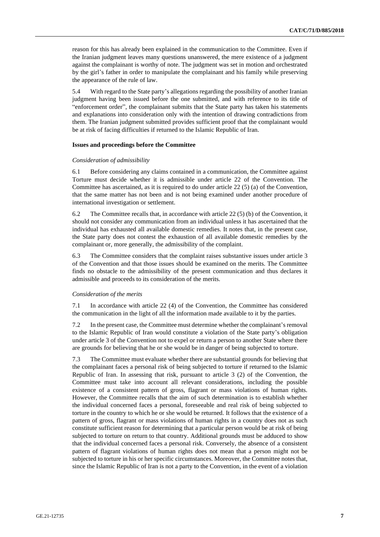reason for this has already been explained in the communication to the Committee. Even if the Iranian judgment leaves many questions unanswered, the mere existence of a judgment against the complainant is worthy of note. The judgment was set in motion and orchestrated by the girl's father in order to manipulate the complainant and his family while preserving the appearance of the rule of law.

5.4 With regard to the State party's allegations regarding the possibility of another Iranian judgment having been issued before the one submitted, and with reference to its title of "enforcement order", the complainant submits that the State party has taken his statements and explanations into consideration only with the intention of drawing contradictions from them. The Iranian judgment submitted provides sufficient proof that the complainant would be at risk of facing difficulties if returned to the Islamic Republic of Iran.

#### **Issues and proceedings before the Committee**

#### *Consideration of admissibility*

6.1 Before considering any claims contained in a communication, the Committee against Torture must decide whether it is admissible under article 22 of the Convention. The Committee has ascertained, as it is required to do under article 22 (5) (a) of the Convention, that the same matter has not been and is not being examined under another procedure of international investigation or settlement.

6.2 The Committee recalls that, in accordance with article 22 (5) (b) of the Convention, it should not consider any communication from an individual unless it has ascertained that the individual has exhausted all available domestic remedies. It notes that, in the present case, the State party does not contest the exhaustion of all available domestic remedies by the complainant or, more generally, the admissibility of the complaint.

6.3 The Committee considers that the complaint raises substantive issues under article 3 of the Convention and that those issues should be examined on the merits. The Committee finds no obstacle to the admissibility of the present communication and thus declares it admissible and proceeds to its consideration of the merits.

#### *Consideration of the merits*

7.1 In accordance with article 22 (4) of the Convention, the Committee has considered the communication in the light of all the information made available to it by the parties.

7.2 In the present case, the Committee must determine whether the complainant'sremoval to the Islamic Republic of Iran would constitute a violation of the State party's obligation under article 3 of the Convention not to expel or return a person to another State where there are grounds for believing that he or she would be in danger of being subjected to torture.

7.3 The Committee must evaluate whether there are substantial grounds for believing that the complainant faces a personal risk of being subjected to torture if returned to the Islamic Republic of Iran. In assessing that risk, pursuant to article 3 (2) of the Convention, the Committee must take into account all relevant considerations, including the possible existence of a consistent pattern of gross, flagrant or mass violations of human rights. However, the Committee recalls that the aim of such determination is to establish whether the individual concerned faces a personal, foreseeable and real risk of being subjected to torture in the country to which he or she would be returned. It follows that the existence of a pattern of gross, flagrant or mass violations of human rights in a country does not as such constitute sufficient reason for determining that a particular person would be at risk of being subjected to torture on return to that country. Additional grounds must be adduced to show that the individual concerned faces a personal risk. Conversely, the absence of a consistent pattern of flagrant violations of human rights does not mean that a person might not be subjected to torture in his or her specific circumstances. Moreover, the Committee notes that, since the Islamic Republic of Iran is not a party to the Convention, in the event of a violation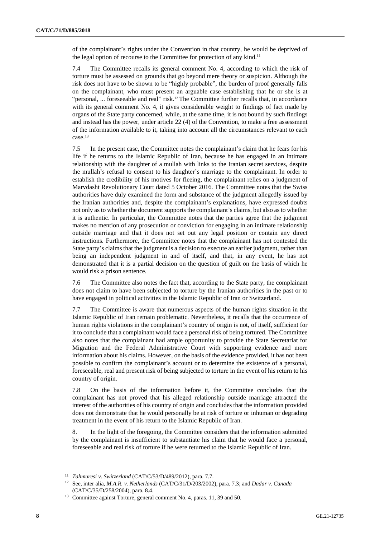of the complainant's rights under the Convention in that country, he would be deprived of the legal option of recourse to the Committee for protection of any kind.<sup>11</sup>

7.4 The Committee recalls its general comment No. 4, according to which the risk of torture must be assessed on grounds that go beyond mere theory or suspicion. Although the risk does not have to be shown to be "highly probable", the burden of proof generally falls on the complainant, who must present an arguable case establishing that he or she is at "personal, ... foreseeable and real" risk.<sup>12</sup> The Committee further recalls that, in accordance with its general comment No. 4, it gives considerable weight to findings of fact made by organs of the State party concerned, while, at the same time, it is not bound by such findings and instead has the power, under article 22 (4) of the Convention, to make a free assessment of the information available to it, taking into account all the circumstances relevant to each case.<sup>13</sup>

7.5 In the present case, the Committee notes the complainant's claim that he fears for his life if he returns to the Islamic Republic of Iran, because he has engaged in an intimate relationship with the daughter of a mullah with links to the Iranian secret services, despite the mullah's refusal to consent to his daughter's marriage to the complainant. In order to establish the credibility of his motives for fleeing, the complainant relies on a judgment of Marvdasht Revolutionary Court dated 5 October 2016. The Committee notes that the Swiss authorities have duly examined the form and substance of the judgment allegedly issued by the Iranian authorities and, despite the complainant's explanations, have expressed doubts not only as to whether the document supports the complainant's claims, but also as to whether it is authentic. In particular, the Committee notes that the parties agree that the judgment makes no mention of any prosecution or conviction for engaging in an intimate relationship outside marriage and that it does not set out any legal position or contain any direct instructions. Furthermore, the Committee notes that the complainant has not contested the State party's claims that the judgment is a decision to execute an earlier judgment, rather than being an independent judgment in and of itself, and that, in any event, he has not demonstrated that it is a partial decision on the question of guilt on the basis of which he would risk a prison sentence.

7.6 The Committee also notes the fact that, according to the State party, the complainant does not claim to have been subjected to torture by the Iranian authorities in the past or to have engaged in political activities in the Islamic Republic of Iran or Switzerland.

7.7 The Committee is aware that numerous aspects of the human rights situation in the Islamic Republic of Iran remain problematic. Nevertheless, it recalls that the occurrence of human rights violations in the complainant's country of origin is not, of itself, sufficient for it to conclude that a complainant would face a personal risk of being tortured. The Committee also notes that the complainant had ample opportunity to provide the State Secretariat for Migration and the Federal Administrative Court with supporting evidence and more information about his claims. However, on the basis of the evidence provided, it has not been possible to confirm the complainant's account or to determine the existence of a personal, foreseeable, real and present risk of being subjected to torture in the event of his return to his country of origin.

7.8 On the basis of the information before it, the Committee concludes that the complainant has not proved that his alleged relationship outside marriage attracted the interest of the authorities of his country of origin and concludes that the information provided does not demonstrate that he would personally be at risk of torture or inhuman or degrading treatment in the event of his return to the Islamic Republic of Iran.

8. In the light of the foregoing, the Committee considers that the information submitted by the complainant is insufficient to substantiate his claim that he would face a personal, foreseeable and real risk of torture if he were returned to the Islamic Republic of Iran.

<sup>11</sup> *Tahmuresi v. Switzerland* (CAT/C/53/D/489/2012), para. 7.7.

<sup>12</sup> See, inter alia, *M.A.R. v. Netherlands* (CAT/C/31/D/203/2002), para. 7.3; and *Dadar v. Canada* (CAT/C/35/D/258/2004), para. 8.4.

<sup>&</sup>lt;sup>13</sup> Committee against Torture, general comment No. 4, paras. 11, 39 and 50.